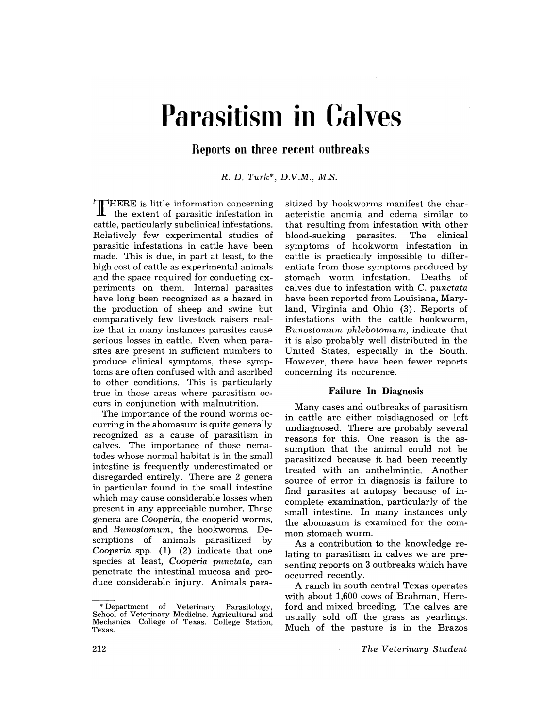# **Parasitism in Calves**

**Reports on three recent outbreaks** 

R. D. *Turk\*, D.V.M., M.S.* 

T HERE is little information concerning the extent of parasitic infestation in cattle, particularly subclinical infestations. Relatively few experimental studies of parasitic infestations in cattle have been made. This is due, in part at least, to the high cost of cattle as experimental animals and the space required for conducting experiments on them. Internal parasites have long been recognized as a hazard in the production of sheep and swine but comparatively few livestock raisers realize that in many instances parasites cause serious losses in cattle. Even when parasites are present in sufficient numbers to produce clinical symptoms, these symptoms are often confused with and ascribed to other conditions. This is particularly true in those areas where parasitism occurs in conjunction with malnutrition.

The importance of the round worms occurring in the abomasum is quite generally recognized as a cause of parasitism in calves. The importance of those nematodes whose normal habitat is in the small intestine is frequently underestimated or disregarded entirely. There are 2 genera in particular found in the small intestine which may cause considerable losses when present in any appreciable number. These genera are *Cooperia,* the cooperid worms, and *Bunostomum,* the hookworms. Descriptions of animals parasitized by *Cooperia* spp. (1) (2) indicate that one species at least, *Cooperia punctata,* can penetrate the intestinal mucosa and produce considerable injury. Animals para-

sitized by hookworms manifest the characteristic anemia and edema similar to that resulting from infestation with other blood-sucking parasites. The clinical symptoms of hookworm infestation in cattle is practically impossible to differentiate from those symptoms produced by stomach worm infestation. Deaths of calves due to infestation with C. *punctata*  have been reported from Louisiana, Maryland, Virginia and Ohio (3). Reports of infestations with the cattle hookworm, *Bunostomum phlebotomum,* indicate that it is also probably well distributed in the United States, especially in the South. However, there have been fewer reports concerning its occurence.

# Failure **In** Diagnosis

Many cases and outbreaks of parasitism in cattle are either misdiagnosed or left undiagnosed. There are probably several reasons for this. One reason is the assumption that the animal could not be parasitized because it had been recently treated with an anthelmintic. Another source of error in diagnosis is failure to find parasites at autopsy because of incomplete examination, particularly of the small intestine. In many instances only the abomasum is examined for the common stomach worm.

As a contribution to the knowledge relating to parasitism in calves we are presenting reports on 3 outbreaks which have occurred recently.

A ranch in south central Texas operates with about 1,600 cows of Brahman, Hereford and mixed breeding. The calves are usually sold off the grass as yearlings. Much of the pasture is in the Brazos

*The Veterinary Student* 

<sup>\*</sup> Department of Veterinary Parasitology, School of Veterinary Medicine. Agricultural and Mechanical College of Texas. College Station, Texas.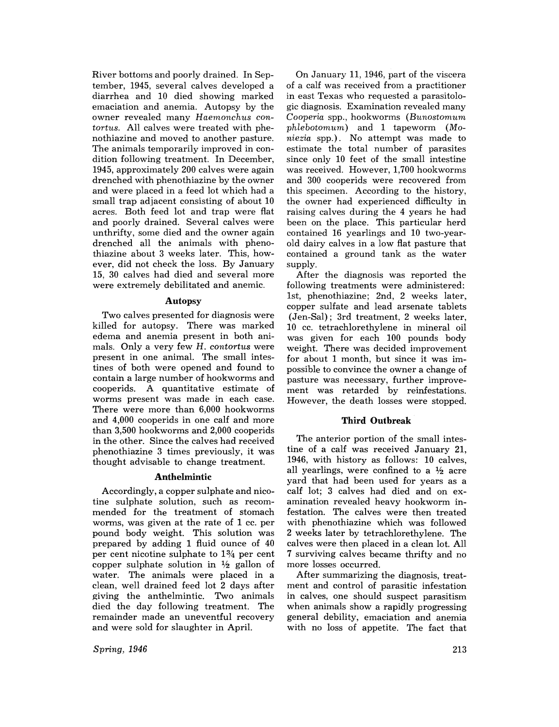River bottoms and poorly drained. In September, 1945, several calves developed a diarrhea and 10 died showing marked emaciation and anemia. Autopsy by the owner revealed many Haemonchus con*tortus.* All calves were treated with phenothiazine and moved to another pasture. The animals temporarily improved in condition following treatment. In December, 1945, approximately 200 calves were again drenched with phenothiazine by the owner and were placed in a feed lot which had a small trap adjacent consisting of about 10 acres. Both feed lot and trap were flat and poorly drained. Several calves were unthrifty, some died and the owner again drenched all the animals with phenothiazine about 3 weeks later. This, however, did not check the loss. By January 15, 30 calves had died and several more were extremely debilitated and anemic.

## Autopsy

Two calves presented for diagnosis were killed for autopsy. There was marked edema and anemia present in both animals. Only a very few H. *contortus* were present in one animal. The small intestines of both were opened and found to contain a large number of hookworms and cooperids. A quantitative estimate of worms present was made in each case. There were more than 6,000 hookworms and 4,000 cooperids in one calf and more than 3,500 hookworms and 2,000 cooperids in the other. Since the calves had received phenothiazine 3 times previously, it was thought advisable to change treatment.

#### **Anthelmintic**

Accordingly, a copper sulphate and nicotine sulphate solution, such as recommended for the treatment of stomach worms, was given at the rate of 1 cc. per pound body weight. This solution was prepared by adding 1 fluid ounce of 40 per cent nicotine sulphate to 1% per cent copper sulphate solution in  $\frac{1}{2}$  gallon of water. The animals were placed in a clean, well drained feed lot 2 days after giving the anthelmintic. Two animals died the day following treatment. The remainder made an uneventful recovery and were sold for slaughter in April.

*Spring, 1946* 

On January 11, 1946, part of the viscera of a calf was received from a practitioner in east Texas who requested a parasitologic diagnosis. Examination revealed many *Cooperia* spp., hookworms *(Bunostomum phlebotomum)* and 1 tapeworm *(Moniezia* spp.). No attempt was made to estimate the total number of parasites since only 10 feet of the small intestine was received. However, 1,700 hookworms and 300 cooperids were recovered from this specimen. According to the history, the owner had experienced difficulty in raising calves during the 4 years he had been on the place. This particular herd contained 16 yearlings and 10 two-yearold dairy calves in a low flat pasture that contained a ground tank as the water supply.

After the diagnosis was reported the following treatments were administered: 1st, phenothiazine; 2nd, 2 weeks later, copper sulfate and lead arsenate tablets (Jen-Sal); 3rd treatment, 2 weeks later, 10 cc. tetrachlorethylene in mineral oil was given for each 100 pounds body weight. There was decided improvement for about 1 month, but since it was impossible to convince the owner a change of pasture was necessary, further improvement was retarded by reinfestations. However, the death losses were stopped.

#### **Third Outbreak**

The anterior portion of the small intestine of a calf was received January 21, 1946, with history as follows: 10 calves, all yearlings, were confined to a  $\frac{1}{2}$  acre yard that had been used for years as a calf lot; 3 calves had died and on examination revealed heavy hookworm infestation. The calves were then treated with phenothiazine which was followed 2 weeks later by tetrachlorethylene. The calves were then placed in a clean lot. All 7 surviving calves became thrifty and no more losses occurred.

After summarizing the diagnosis, treatment and control of parasitic infestation in calves, one should suspect parasitism when animals show a rapidly progressing general debility, emaciation and anemia with no loss of appetite. The fact that